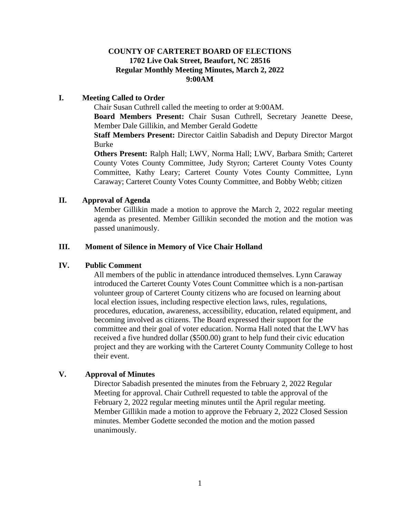# **COUNTY OF CARTERET BOARD OF ELECTIONS 1702 Live Oak Street, Beaufort, NC 28516 Regular Monthly Meeting Minutes, March 2, 2022 9:00AM**

### **I. Meeting Called to Order**

Chair Susan Cuthrell called the meeting to order at 9:00AM.

**Board Members Present:** Chair Susan Cuthrell, Secretary Jeanette Deese, Member Dale Gillikin, and Member Gerald Godette

**Staff Members Present:** Director Caitlin Sabadish and Deputy Director Margot Burke

**Others Present:** Ralph Hall; LWV, Norma Hall; LWV, Barbara Smith; Carteret County Votes County Committee, Judy Styron; Carteret County Votes County Committee, Kathy Leary; Carteret County Votes County Committee, Lynn Caraway; Carteret County Votes County Committee, and Bobby Webb; citizen

# **II. Approval of Agenda**

Member Gillikin made a motion to approve the March 2, 2022 regular meeting agenda as presented. Member Gillikin seconded the motion and the motion was passed unanimously.

# **III. Moment of Silence in Memory of Vice Chair Holland**

# **IV. Public Comment**

All members of the public in attendance introduced themselves. Lynn Caraway introduced the Carteret County Votes Count Committee which is a non-partisan volunteer group of Carteret County citizens who are focused on learning about local election issues, including respective election laws, rules, regulations, procedures, education, awareness, accessibility, education, related equipment, and becoming involved as citizens. The Board expressed their support for the committee and their goal of voter education. Norma Hall noted that the LWV has received a five hundred dollar (\$500.00) grant to help fund their civic education project and they are working with the Carteret County Community College to host their event.

# **V. Approval of Minutes**

Director Sabadish presented the minutes from the February 2, 2022 Regular Meeting for approval. Chair Cuthrell requested to table the approval of the February 2, 2022 regular meeting minutes until the April regular meeting. Member Gillikin made a motion to approve the February 2, 2022 Closed Session minutes. Member Godette seconded the motion and the motion passed unanimously.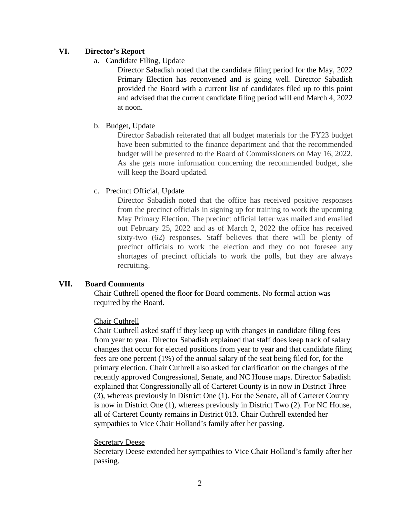# **VI. Director's Report**

a. Candidate Filing, Update

Director Sabadish noted that the candidate filing period for the May, 2022 Primary Election has reconvened and is going well. Director Sabadish provided the Board with a current list of candidates filed up to this point and advised that the current candidate filing period will end March 4, 2022 at noon.

b. Budget, Update

Director Sabadish reiterated that all budget materials for the FY23 budget have been submitted to the finance department and that the recommended budget will be presented to the Board of Commissioners on May 16, 2022. As she gets more information concerning the recommended budget, she will keep the Board updated.

### c. Precinct Official, Update

Director Sabadish noted that the office has received positive responses from the precinct officials in signing up for training to work the upcoming May Primary Election. The precinct official letter was mailed and emailed out February 25, 2022 and as of March 2, 2022 the office has received sixty-two (62) responses. Staff believes that there will be plenty of precinct officials to work the election and they do not foresee any shortages of precinct officials to work the polls, but they are always recruiting.

# **VII. Board Comments**

Chair Cuthrell opened the floor for Board comments. No formal action was required by the Board.

# Chair Cuthrell

Chair Cuthrell asked staff if they keep up with changes in candidate filing fees from year to year. Director Sabadish explained that staff does keep track of salary changes that occur for elected positions from year to year and that candidate filing fees are one percent (1%) of the annual salary of the seat being filed for, for the primary election. Chair Cuthrell also asked for clarification on the changes of the recently approved Congressional, Senate, and NC House maps. Director Sabadish explained that Congressionally all of Carteret County is in now in District Three (3), whereas previously in District One (1). For the Senate, all of Carteret County is now in District One (1), whereas previously in District Two (2). For NC House, all of Carteret County remains in District 013. Chair Cuthrell extended her sympathies to Vice Chair Holland's family after her passing.

### Secretary Deese

Secretary Deese extended her sympathies to Vice Chair Holland's family after her passing.